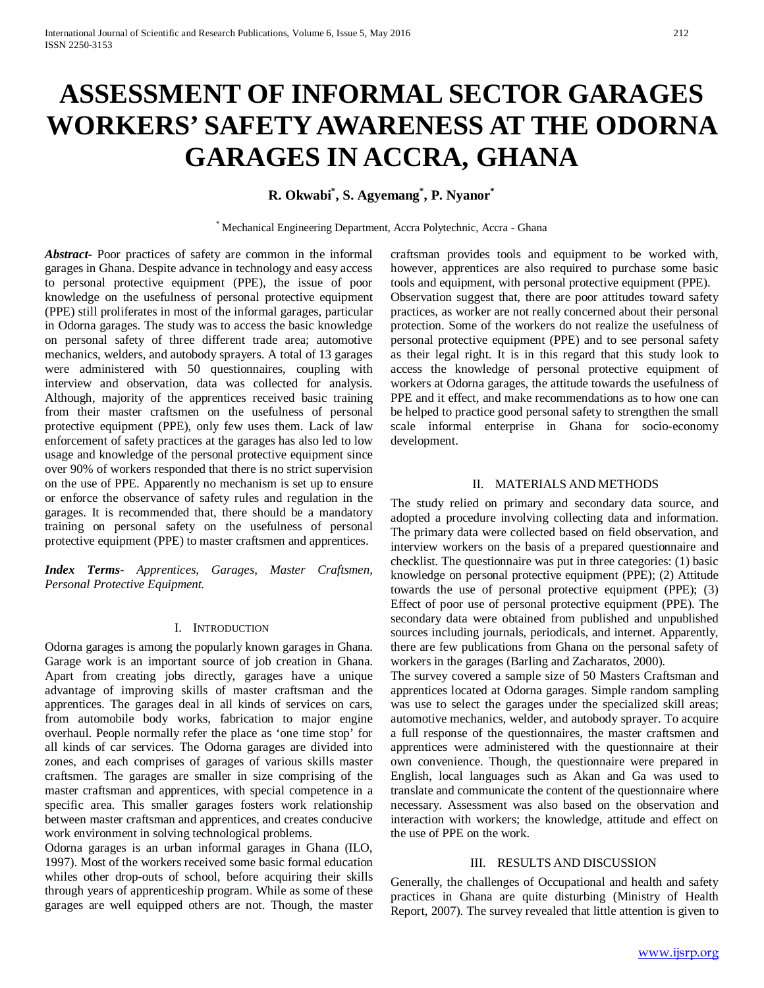# **ASSESSMENT OF INFORMAL SECTOR GARAGES WORKERS' SAFETY AWARENESS AT THE ODORNA GARAGES IN ACCRA, GHANA**

**R. Okwabi\* , S. Agyemang\* , P. Nyanor\***

\* Mechanical Engineering Department, Accra Polytechnic, Accra - Ghana

*Abstract***-** Poor practices of safety are common in the informal garages in Ghana. Despite advance in technology and easy access to personal protective equipment (PPE), the issue of poor knowledge on the usefulness of personal protective equipment (PPE) still proliferates in most of the informal garages, particular in Odorna garages. The study was to access the basic knowledge on personal safety of three different trade area; automotive mechanics, welders, and autobody sprayers. A total of 13 garages were administered with 50 questionnaires, coupling with interview and observation, data was collected for analysis. Although, majority of the apprentices received basic training from their master craftsmen on the usefulness of personal protective equipment (PPE), only few uses them. Lack of law enforcement of safety practices at the garages has also led to low usage and knowledge of the personal protective equipment since over 90% of workers responded that there is no strict supervision on the use of PPE. Apparently no mechanism is set up to ensure or enforce the observance of safety rules and regulation in the garages. It is recommended that, there should be a mandatory training on personal safety on the usefulness of personal protective equipment (PPE) to master craftsmen and apprentices.

*Index Terms*- *Apprentices, Garages, Master Craftsmen, Personal Protective Equipment.*

# I. INTRODUCTION

Odorna garages is among the popularly known garages in Ghana. Garage work is an important source of job creation in Ghana. Apart from creating jobs directly, garages have a unique advantage of improving skills of master craftsman and the apprentices. The garages deal in all kinds of services on cars, from automobile body works, fabrication to major engine overhaul. People normally refer the place as 'one time stop' for all kinds of car services. The Odorna garages are divided into zones, and each comprises of garages of various skills master craftsmen. The garages are smaller in size comprising of the master craftsman and apprentices, with special competence in a specific area. This smaller garages fosters work relationship between master craftsman and apprentices, and creates conducive work environment in solving technological problems.

Odorna garages is an urban informal garages in Ghana (ILO, 1997). Most of the workers received some basic formal education whiles other drop-outs of school, before acquiring their skills through years of apprenticeship program. While as some of these garages are well equipped others are not. Though, the master

craftsman provides tools and equipment to be worked with, however, apprentices are also required to purchase some basic tools and equipment, with personal protective equipment (PPE). Observation suggest that, there are poor attitudes toward safety practices, as worker are not really concerned about their personal protection. Some of the workers do not realize the usefulness of personal protective equipment (PPE) and to see personal safety as their legal right. It is in this regard that this study look to access the knowledge of personal protective equipment of workers at Odorna garages, the attitude towards the usefulness of PPE and it effect, and make recommendations as to how one can be helped to practice good personal safety to strengthen the small scale informal enterprise in Ghana for socio-economy development.

#### II. MATERIALS AND METHODS

The study relied on primary and secondary data source, and adopted a procedure involving collecting data and information. The primary data were collected based on field observation, and interview workers on the basis of a prepared questionnaire and checklist. The questionnaire was put in three categories: (1) basic knowledge on personal protective equipment (PPE); (2) Attitude towards the use of personal protective equipment (PPE); (3) Effect of poor use of personal protective equipment (PPE). The secondary data were obtained from published and unpublished sources including journals, periodicals, and internet. Apparently, there are few publications from Ghana on the personal safety of workers in the garages (Barling and Zacharatos, 2000).

The survey covered a sample size of 50 Masters Craftsman and apprentices located at Odorna garages. Simple random sampling was use to select the garages under the specialized skill areas; automotive mechanics, welder, and autobody sprayer. To acquire a full response of the questionnaires, the master craftsmen and apprentices were administered with the questionnaire at their own convenience. Though, the questionnaire were prepared in English, local languages such as Akan and Ga was used to translate and communicate the content of the questionnaire where necessary. Assessment was also based on the observation and interaction with workers; the knowledge, attitude and effect on the use of PPE on the work.

# III. RESULTS AND DISCUSSION

Generally, the challenges of Occupational and health and safety practices in Ghana are quite disturbing (Ministry of Health Report, 2007). The survey revealed that little attention is given to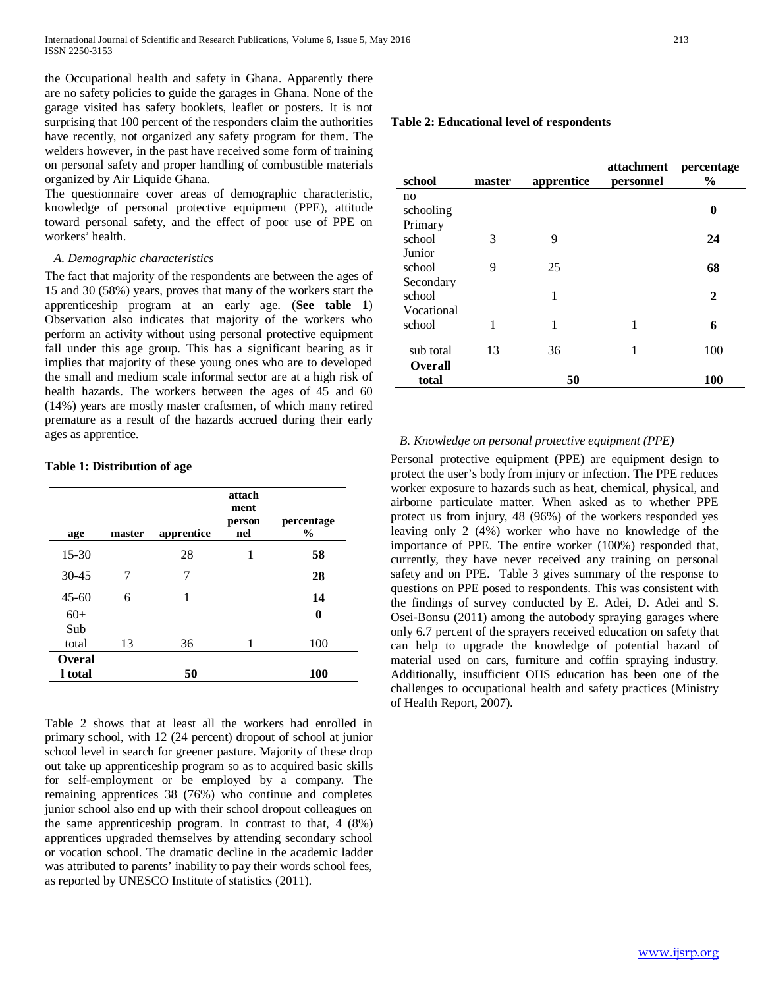the Occupational health and safety in Ghana. Apparently there are no safety policies to guide the garages in Ghana. None of the garage visited has safety booklets, leaflet or posters. It is not surprising that 100 percent of the responders claim the authorities have recently, not organized any safety program for them. The welders however, in the past have received some form of training on personal safety and proper handling of combustible materials organized by Air Liquide Ghana.

The questionnaire cover areas of demographic characteristic, knowledge of personal protective equipment (PPE), attitude toward personal safety, and the effect of poor use of PPE on workers' health.

#### *A. Demographic characteristics*

The fact that majority of the respondents are between the ages of 15 and 30 (58%) years, proves that many of the workers start the apprenticeship program at an early age. (**See table 1**) Observation also indicates that majority of the workers who perform an activity without using personal protective equipment fall under this age group. This has a significant bearing as it implies that majority of these young ones who are to developed the small and medium scale informal sector are at a high risk of health hazards. The workers between the ages of 45 and 60 (14%) years are mostly master craftsmen, of which many retired premature as a result of the hazards accrued during their early ages as apprentice.

# **Table 1: Distribution of age**

| age       | master | apprentice | attach<br>ment<br>person<br>nel | percentage<br>$\frac{0}{0}$ |
|-----------|--------|------------|---------------------------------|-----------------------------|
| $15 - 30$ |        | 28         | 1                               | 58                          |
| $30 - 45$ | 7      | 7          |                                 | 28                          |
| $45 - 60$ | 6      | 1          |                                 | 14                          |
| $60+$     |        |            |                                 | 0                           |
| Sub       |        |            |                                 |                             |
| total     | 13     | 36         | 1                               | 100                         |
| Overal    |        |            |                                 |                             |
| 1 total   |        | 50         |                                 | <b>100</b>                  |

Table 2 shows that at least all the workers had enrolled in primary school, with 12 (24 percent) dropout of school at junior school level in search for greener pasture. Majority of these drop out take up apprenticeship program so as to acquired basic skills for self-employment or be employed by a company. The remaining apprentices 38 (76%) who continue and completes junior school also end up with their school dropout colleagues on the same apprenticeship program. In contrast to that, 4 (8%) apprentices upgraded themselves by attending secondary school or vocation school. The dramatic decline in the academic ladder was attributed to parents' inability to pay their words school fees, as reported by UNESCO Institute of statistics (2011).

#### **Table 2: Educational level of respondents**

| school         | master | apprentice | attachment<br>personnel | percentage<br>$\%$ |
|----------------|--------|------------|-------------------------|--------------------|
| no             |        |            |                         |                    |
| schooling      |        |            |                         | 0                  |
| Primary        |        |            |                         |                    |
| school         | 3      | 9          |                         | 24                 |
| Junior         |        |            |                         |                    |
| school         | 9      | 25         |                         | 68                 |
| Secondary      |        |            |                         |                    |
| school         |        | 1          |                         | $\mathbf{2}$       |
| Vocational     |        |            |                         |                    |
| school         | 1      | 1          | 1                       | 6                  |
|                |        |            |                         |                    |
| sub total      | 13     | 36         | 1                       | 100                |
| <b>Overall</b> |        |            |                         |                    |
| total          |        | 50         |                         | 100                |

# *B. Knowledge on personal protective equipment (PPE)*

Personal protective equipment (PPE) are equipment design to protect the user's body from injury or infection. The PPE reduces worker exposure to hazards such as heat, chemical, physical, and airborne particulate matter. When asked as to whether PPE protect us from injury, 48 (96%) of the workers responded yes leaving only 2 (4%) worker who have no knowledge of the importance of PPE. The entire worker (100%) responded that, currently, they have never received any training on personal safety and on PPE. Table 3 gives summary of the response to questions on PPE posed to respondents. This was consistent with the findings of survey conducted by E. Adei, D. Adei and S. Osei-Bonsu (2011) among the autobody spraying garages where only 6.7 percent of the sprayers received education on safety that can help to upgrade the knowledge of potential hazard of material used on cars, furniture and coffin spraying industry. Additionally, insufficient OHS education has been one of the challenges to occupational health and safety practices (Ministry of Health Report, 2007).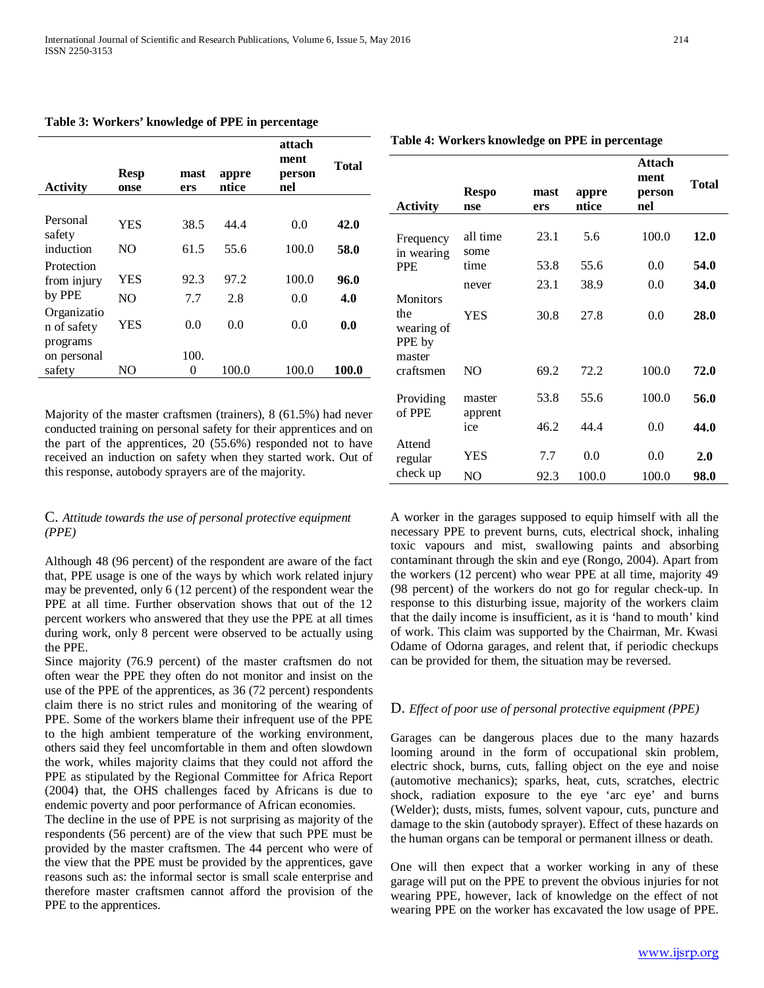| <b>Activity</b>            | <b>Resp</b><br>onse | mast<br>ers | appre<br>ntice | attach<br>ment<br>person<br>nel | Total |
|----------------------------|---------------------|-------------|----------------|---------------------------------|-------|
|                            |                     |             |                |                                 |       |
| Personal<br>safety         | YES                 | 38.5        | 44.4           | 0.0                             | 42.0  |
| induction                  | NO.                 | 61.5        | 55.6           | 100.0                           | 58.0  |
| Protection<br>from injury  | YES                 | 92.3        | 97.2           | 100.0                           | 96.0  |
| by PPE                     | NO.                 | 7.7         | 2.8            | 0.0                             | 4.0   |
| Organizatio<br>n of safety | YES                 | 0.0         | 0.0            | 0.0                             | 0.0   |
| programs<br>on personal    |                     | 100.        |                |                                 |       |
| safety                     | NO                  | 0           | 100.0          | 100.0                           | 100.0 |

**Table 3: Workers' knowledge of PPE in percentage**

Majority of the master craftsmen (trainers), 8 (61.5%) had never conducted training on personal safety for their apprentices and on the part of the apprentices, 20 (55.6%) responded not to have received an induction on safety when they started work. Out of this response, autobody sprayers are of the majority.

# C. *Attitude towards the use of personal protective equipment (PPE)*

Although 48 (96 percent) of the respondent are aware of the fact that, PPE usage is one of the ways by which work related injury may be prevented, only 6 (12 percent) of the respondent wear the PPE at all time. Further observation shows that out of the 12 percent workers who answered that they use the PPE at all times during work, only 8 percent were observed to be actually using the PPE.

Since majority (76.9 percent) of the master craftsmen do not often wear the PPE they often do not monitor and insist on the use of the PPE of the apprentices, as 36 (72 percent) respondents claim there is no strict rules and monitoring of the wearing of PPE. Some of the workers blame their infrequent use of the PPE to the high ambient temperature of the working environment, others said they feel uncomfortable in them and often slowdown the work, whiles majority claims that they could not afford the PPE as stipulated by the Regional Committee for Africa Report (2004) that, the OHS challenges faced by Africans is due to endemic poverty and poor performance of African economies.

The decline in the use of PPE is not surprising as majority of the respondents (56 percent) are of the view that such PPE must be provided by the master craftsmen. The 44 percent who were of the view that the PPE must be provided by the apprentices, gave reasons such as: the informal sector is small scale enterprise and therefore master craftsmen cannot afford the provision of the PPE to the apprentices.

| <b>Activity</b>                       | <b>Respo</b><br>nse | mast<br>ers | appre<br>ntice | Attach<br>ment<br>person<br>nel | <b>Total</b> |
|---------------------------------------|---------------------|-------------|----------------|---------------------------------|--------------|
| Frequency<br>in wearing               | all time<br>some    | 23.1        | 5.6            | 100.0                           | 12.0         |
| <b>PPE</b>                            | time                | 53.8        | 55.6           | 0.0                             | 54.0         |
| <b>Monitors</b>                       | never               | 23.1        | 38.9           | 0.0                             | 34.0         |
| the<br>wearing of<br>PPE by<br>master | YES                 | 30.8        | 27.8           | 0.0                             | 28.0         |
| craftsmen                             | NO                  | 69.2        | 72.2           | 100.0                           | 72.0         |
| Providing<br>of PPE                   | master<br>apprent   | 53.8        | 55.6           | 100.0                           | 56.0         |
|                                       | ice                 | 46.2        | 44.4           | 0.0                             | 44.0         |
| Attend<br>regular                     | YES                 | 7.7         | 0.0            | 0.0                             | 2.0          |
| check up                              | NO                  | 92.3        | 100.0          | 100.0                           | 98.0         |

**Table 4: Workers knowledge on PPE in percentage**

A worker in the garages supposed to equip himself with all the necessary PPE to prevent burns, cuts, electrical shock, inhaling toxic vapours and mist, swallowing paints and absorbing contaminant through the skin and eye (Rongo, 2004). Apart from the workers (12 percent) who wear PPE at all time, majority 49 (98 percent) of the workers do not go for regular check-up. In response to this disturbing issue, majority of the workers claim that the daily income is insufficient, as it is 'hand to mouth' kind of work. This claim was supported by the Chairman, Mr. Kwasi Odame of Odorna garages, and relent that, if periodic checkups can be provided for them, the situation may be reversed.

# D. *Effect of poor use of personal protective equipment (PPE)*

Garages can be dangerous places due to the many hazards looming around in the form of occupational skin problem, electric shock, burns, cuts, falling object on the eye and noise (automotive mechanics); sparks, heat, cuts, scratches, electric shock, radiation exposure to the eye 'arc eye' and burns (Welder); dusts, mists, fumes, solvent vapour, cuts, puncture and damage to the skin (autobody sprayer). Effect of these hazards on the human organs can be temporal or permanent illness or death.

One will then expect that a worker working in any of these garage will put on the PPE to prevent the obvious injuries for not wearing PPE, however, lack of knowledge on the effect of not wearing PPE on the worker has excavated the low usage of PPE.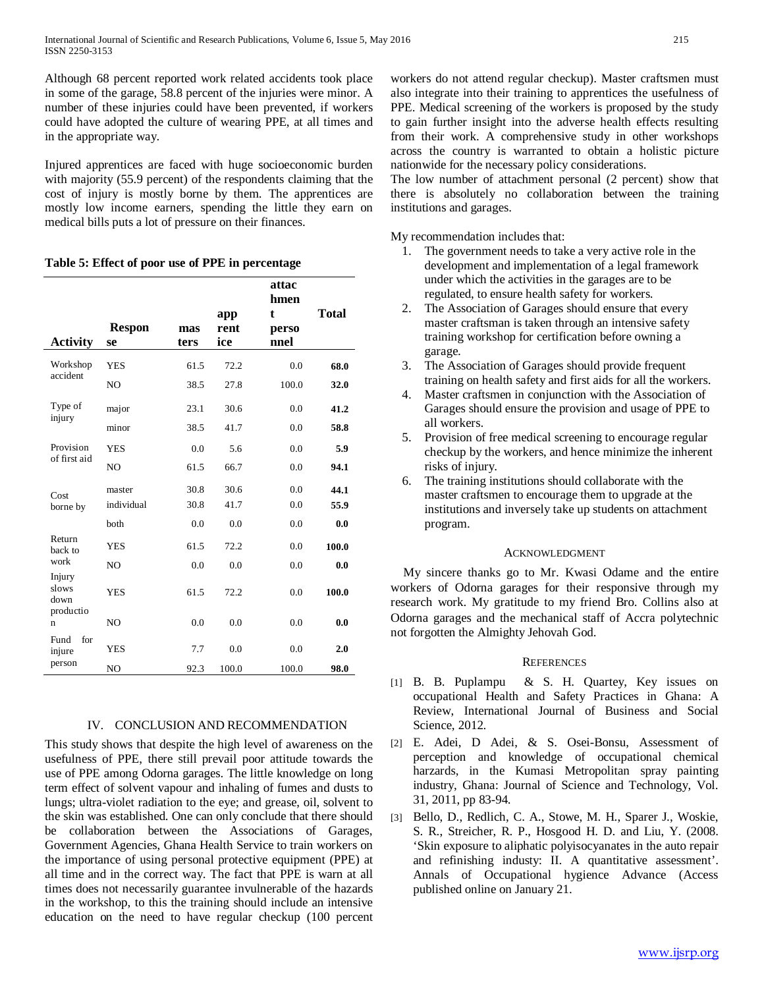Although 68 percent reported work related accidents took place in some of the garage, 58.8 percent of the injuries were minor. A number of these injuries could have been prevented, if workers could have adopted the culture of wearing PPE, at all times and in the appropriate way.

Injured apprentices are faced with huge socioeconomic burden with majority (55.9 percent) of the respondents claiming that the cost of injury is mostly borne by them. The apprentices are mostly low income earners, spending the little they earn on medical bills puts a lot of pressure on their finances.

|  |  |  |  | Table 5: Effect of poor use of PPE in percentage |
|--|--|--|--|--------------------------------------------------|
|--|--|--|--|--------------------------------------------------|

| <b>Activity</b>                           | <b>Respon</b><br>se | mas<br>ters | app<br>rent<br>ice | attac<br>hmen<br>t<br>perso<br>nnel | <b>Total</b> |
|-------------------------------------------|---------------------|-------------|--------------------|-------------------------------------|--------------|
| Workshop                                  | <b>YES</b>          | 61.5        | 72.2               | 0.0                                 | 68.0         |
| accident                                  | NO                  | 38.5        | 27.8               | 100.0                               | 32.0         |
| Type of                                   | major               | 23.1        | 30.6               | 0.0                                 | 41.2         |
| injury                                    | minor               | 38.5        | 41.7               | 0.0                                 | 58.8         |
| Provision                                 | <b>YES</b>          | 0.0         | 5.6                | 0.0                                 | 5.9          |
| of first aid                              | N <sub>O</sub>      | 61.5        | 66.7               | 0.0                                 | 94.1         |
| Cost                                      | master              | 30.8        | 30.6               | 0.0                                 | 44.1         |
| borne by                                  | individual          | 30.8        | 41.7               | 0.0                                 | 55.9         |
|                                           | both                | 0.0         | 0.0                | 0.0                                 | 0.0          |
| Return<br>back to                         | YES                 | 61.5        | 72.2               | 0.0                                 | 100.0        |
| work                                      | N <sub>O</sub>      | 0.0         | 0.0                | 0.0                                 | 0.0          |
| Injury<br>slows<br>down<br>productio<br>n | YES                 | 61.5        | 72.2               | 0.0                                 | 100.0        |
|                                           | NO                  | 0.0         | 0.0                | 0.0                                 | 0.0          |
| for<br>Fund<br>injure                     | <b>YES</b>          | 7.7         | 0.0                | 0.0                                 | 2.0          |
| person                                    | NO                  | 92.3        | 100.0              | 100.0                               | 98.0         |

# IV. CONCLUSION AND RECOMMENDATION

This study shows that despite the high level of awareness on the usefulness of PPE, there still prevail poor attitude towards the use of PPE among Odorna garages. The little knowledge on long term effect of solvent vapour and inhaling of fumes and dusts to lungs; ultra-violet radiation to the eye; and grease, oil, solvent to the skin was established. One can only conclude that there should be collaboration between the Associations of Garages, Government Agencies, Ghana Health Service to train workers on the importance of using personal protective equipment (PPE) at all time and in the correct way. The fact that PPE is warn at all times does not necessarily guarantee invulnerable of the hazards in the workshop, to this the training should include an intensive education on the need to have regular checkup (100 percent

workers do not attend regular checkup). Master craftsmen must also integrate into their training to apprentices the usefulness of PPE. Medical screening of the workers is proposed by the study to gain further insight into the adverse health effects resulting from their work. A comprehensive study in other workshops across the country is warranted to obtain a holistic picture nationwide for the necessary policy considerations.

The low number of attachment personal (2 percent) show that there is absolutely no collaboration between the training institutions and garages.

My recommendation includes that:

- 1. The government needs to take a very active role in the development and implementation of a legal framework under which the activities in the garages are to be regulated, to ensure health safety for workers.
- 2. The Association of Garages should ensure that every master craftsman is taken through an intensive safety training workshop for certification before owning a garage.
- 3. The Association of Garages should provide frequent training on health safety and first aids for all the workers.
- 4. Master craftsmen in conjunction with the Association of Garages should ensure the provision and usage of PPE to all workers.
- 5. Provision of free medical screening to encourage regular checkup by the workers, and hence minimize the inherent risks of injury.
- 6. The training institutions should collaborate with the master craftsmen to encourage them to upgrade at the institutions and inversely take up students on attachment program.

# ACKNOWLEDGMENT

My sincere thanks go to Mr. Kwasi Odame and the entire workers of Odorna garages for their responsive through my research work. My gratitude to my friend Bro. Collins also at Odorna garages and the mechanical staff of Accra polytechnic not forgotten the Almighty Jehovah God.

# **REFERENCES**

- [1] B. B. Puplampu & S. H. Quartey, Key issues on occupational Health and Safety Practices in Ghana: A Review, International Journal of Business and Social Science, 2012.
- [2] E. Adei, D Adei, & S. Osei-Bonsu, Assessment of perception and knowledge of occupational chemical harzards, in the Kumasi Metropolitan spray painting industry, Ghana: Journal of Science and Technology, Vol. 31, 2011, pp 83-94.
- [3] Bello, D., Redlich, C. A., Stowe, M. H., Sparer J., Woskie, S. R., Streicher, R. P., Hosgood H. D. and Liu, Y. (2008. 'Skin exposure to aliphatic polyisocyanates in the auto repair and refinishing industy: II. A quantitative assessment'. Annals of Occupational hygience Advance (Access published online on January 21.